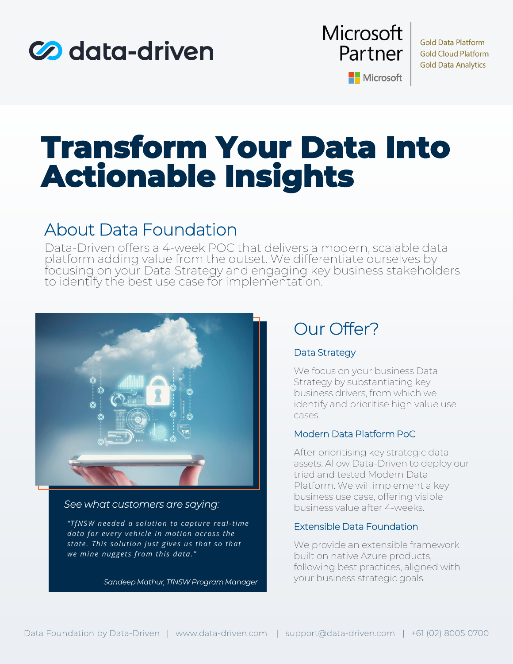



**Gold Data Platform Gold Cloud Platform Gold Data Analytics** 

Microsoft

# **Transform Your Data Into Actionable Insights**

## About Data Foundation

Data-Driven offers a 4-week POC that delivers a modern, scalable data platform adding value from the outset. We differentiate ourselves by focusing on your Data Strategy and engaging key business stakeholders to identify the best use case for implementation.



### *See what customers are saying:*

*"TfNSW needed a solution to capture real -time data for every vehicle in motion across the state. This solution just gives us that so that we mine nuggets from this data."*

*Sandeep Mathur, TfNSW Program Manager*

# Our Offer?

### Data Strategy

We focus on your business Data Strategy by substantiating key business drivers, from which we identify and prioritise high value use cases.

### Modern Data Platform PoC

After prioritising key strategic data assets. Allow Data-Driven to deploy our tried and tested Modern Data Platform. We will implement a key business use case, offering visible business value after 4-weeks.

#### Extensible Data Foundation

We provide an extensible framework built on native Azure products, following best practices, aligned with your business strategic goals.